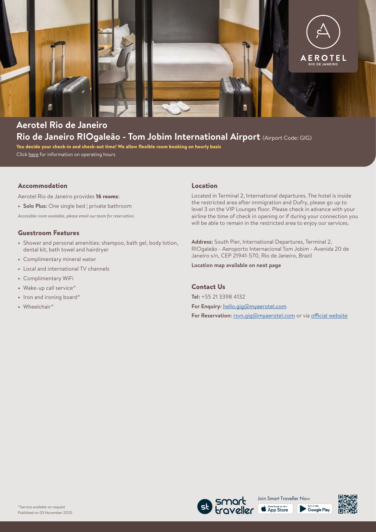

# **Aerotel Rio de Janeiro Rio de Janeiro RIOgaleão - Tom Jobim International Airport** (Airport Code: GIG)

You decide your check-in and check-out time! We allow flexible room booking on hourly basis Click [here](https://www.myaerotel.com/en-uk/find/americas-europe/brazil/rio-de-janeiro/aerotel-rio-de-janeiro) for information on operating hours

#### Accommodation

Aerotel Rio de Janeiro provides 16 rooms:

**• Solo Plus:** One single bed | private bathroom

*Accessible room available, please email our team for reservation.*

## Guestroom Features

- **•** Shower and personal amenities: shampoo, bath gel, body lotion, dental kit, bath towel and hairdryer
- **•** Complimentary mineral water
- **•** Local and international TV channels
- **•** Complimentary WiFi
- **•** Wake-up call service^
- **•** Iron and ironing board^
- **•** Wheelchair^

## Location

Located in Terminal 2, International departures. The hotel is inside the restricted area after immigration and Dufry, please go up to level 3 on the VIP Lounges floor. Please check in advance with your airline the time of check in opening or if during your connection you will be able to remain in the restricted area to enjoy our services.

**Address:** South Pier, International Departures, Terminal 2, RIOgaleão - Aeroporto Internacional Tom Jobim - Avenida 20 de Janeiro s/n, CEP 21941-570, Rio de Janeiro, Brazil

**Location map available on next page**

## Contact Us

**Tel:** +55 21 3398 4132 **For Enquiry:** [hello.gig@myaerotel.com](mailto:hello.gig%40myaerotel.com?subject=) **For Reservation:** [rsvn.gig@myaerotel.com](mailto:rsvn.gig%40myaerotel.com?subject=) or via [official website](https://www.myaerotel.com/en-uk/find/americas-europe/brazil/rio-de-janeiro/aerotel-rio-de-janeiro)